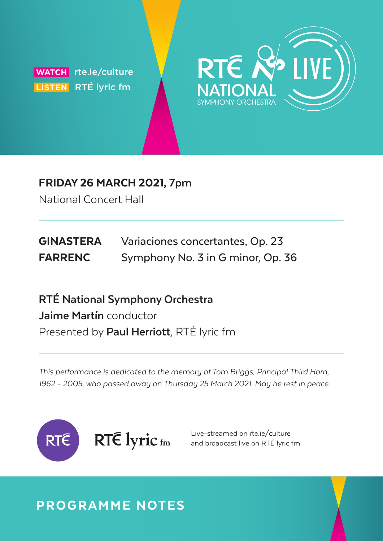**WATCH** rte.ie/culture  **LISTEN** RTÉ lyric fm



## FRIDAY 26 MARCH 2021, **7pm**

National Concert Hall

| <b>GINASTERA</b> | Variaciones concertantes, Op. 23  |
|------------------|-----------------------------------|
| <b>FARRENC</b>   | Symphony No. 3 in G minor, Op. 36 |

**RTÉ National Symphony Orchestra Jaime Martín** conductor Presented by **Paul Herriott**, RTÉ lyric fm

This performance is dedicated to the memory of Tom Briggs, Principal Third Horn, 1962 - 2005, who passed away on Thursday 25 March 2021. May he rest in peace.



Live-streamed on rte.je/culture and broadcast live on RTÉ lyric fm

## PROGRAMME NOTES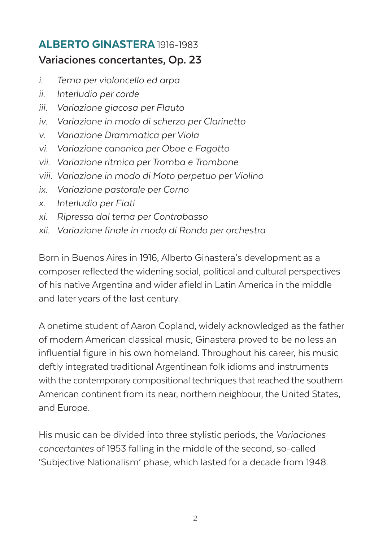## ALBERTO GINASTERA 1916-1983 **Variaciones concertantes, Op. 23**

- i. Tema per violoncello ed arpa
- ii. Interludio per corde
- iii. Variazione giacosa per Flauto
- iv. Variazione in modo di scherzo per Clarinetto
- v. Variazione Drammatica per Viola
- vi. Variazione canonica per Oboe e Fagotto
- vii. Variazione ritmica per Tromba e Trombone
- viii. Variazione in modo di Moto perpetuo per Violino
- ix. Variazione pastorale per Corno
- x. Interludio per Fiati
- xi. Ripressa dal tema per Contrabasso
- xii. Variazione finale in modo di Rondo per orchestra

Born in Buenos Aires in 1916, Alberto Ginastera's development as a composer reflected the widening social, political and cultural perspectives of his native Argentina and wider afield in Latin America in the middle and later years of the last century.

A onetime student of Aaron Copland, widely acknowledged as the father of modern American classical music, Ginastera proved to be no less an influential figure in his own homeland. Throughout his career, his music deftly integrated traditional Argentinean folk idioms and instruments with the contemporary compositional techniques that reached the southern American continent from its near, northern neighbour, the United States, and Europe.

His music can be divided into three stylistic periods, the Variaciones concertantes of 1953 falling in the middle of the second, so-called 'Subjective Nationalism' phase, which lasted for a decade from 1948.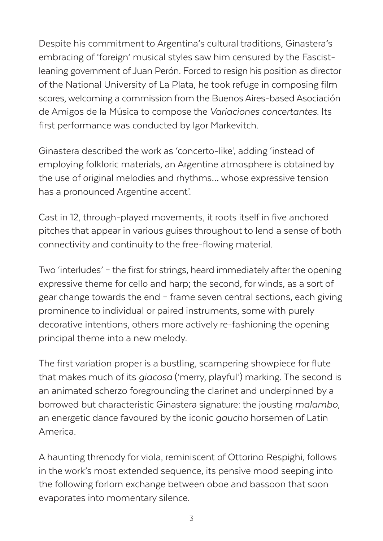Despite his commitment to Argentina's cultural traditions, Ginastera's embracing of 'foreign' musical styles saw him censured by the Fascistleaning government of Juan Perón. Forced to resign his position as director of the National University of La Plata, he took refuge in composing film scores, welcoming a commission from the Buenos Aires-based Asociación de Amigos de la Música to compose the Variaciones concertantes. Its first performance was conducted by Igor Markevitch.

Ginastera described the work as 'concerto-like', adding 'instead of employing folkloric materials, an Argentine atmosphere is obtained by the use of original melodies and rhythms… whose expressive tension has a pronounced Argentine accent'.

Cast in 12, through-played movements, it roots itself in five anchored pitches that appear in various guises throughout to lend a sense of both connectivity and continuity to the free-flowing material.

Two 'interludes' – the first for strings, heard immediately after the opening expressive theme for cello and harp; the second, for winds, as a sort of gear change towards the end – frame seven central sections, each giving prominence to individual or paired instruments, some with purely decorative intentions, others more actively re-fashioning the opening principal theme into a new melody.

The first variation proper is a bustling, scampering showpiece for flute that makes much of its giacosa ('merry, playful') marking. The second is an animated scherzo foregrounding the clarinet and underpinned by a borrowed but characteristic Ginastera signature: the jousting malambo, an energetic dance favoured by the iconic gaucho horsemen of Latin America.

A haunting threnody for viola, reminiscent of Ottorino Respighi, follows in the work's most extended sequence, its pensive mood seeping into the following forlorn exchange between oboe and bassoon that soon evaporates into momentary silence.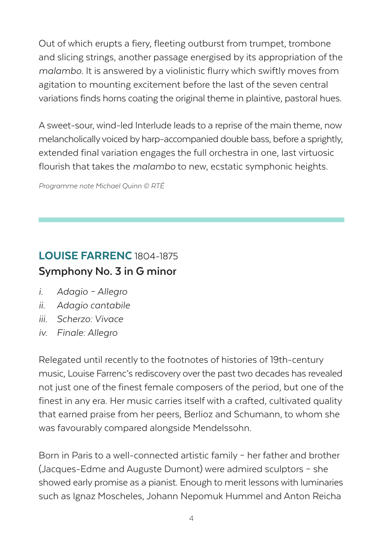Out of which erupts a fiery, fleeting outburst from trumpet, trombone and slicing strings, another passage energised by its appropriation of the malambo. It is answered by a violinistic flurry which swiftly moves from agitation to mounting excitement before the last of the seven central variations finds horns coating the original theme in plaintive, pastoral hues.

A sweet-sour, wind-led Interlude leads to a reprise of the main theme, now melancholically voiced by harp-accompanied double bass, before a sprightly, extended final variation engages the full orchestra in one, last virtuosic flourish that takes the malambo to new, ecstatic symphonic heights.

Programme note Michael Quinn © RTÉ

## LOUISE FARRENC 1804-1875 **Symphony No. 3 in G minor**

- i. Adagio Allegro
- ii. Adagio cantabile
- iii. Scherzo: Vivace
- iv. Finale: Allegro

Relegated until recently to the footnotes of histories of 19th-century music, Louise Farrenc's rediscovery over the past two decades has revealed not just one of the finest female composers of the period, but one of the finest in any era. Her music carries itself with a crafted, cultivated quality that earned praise from her peers, Berlioz and Schumann, to whom she was favourably compared alongside Mendelssohn.

Born in Paris to a well-connected artistic family – her father and brother (Jacques-Edme and Auguste Dumont) were admired sculptors – she showed early promise as a pianist. Enough to merit lessons with luminaries such as Ignaz Moscheles, Johann Nepomuk Hummel and Anton Reicha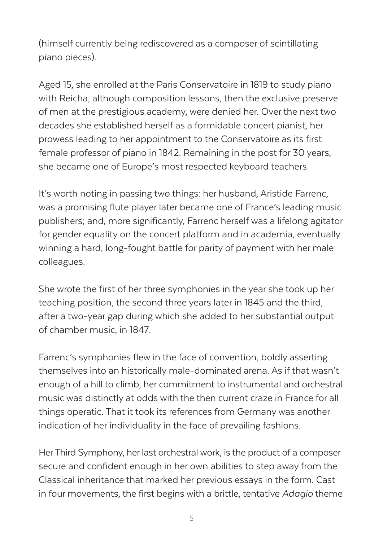(himself currently being rediscovered as a composer of scintillating piano pieces).

Aged 15, she enrolled at the Paris Conservatoire in 1819 to study piano with Reicha, although composition lessons, then the exclusive preserve of men at the prestigious academy, were denied her. Over the next two decades she established herself as a formidable concert pianist, her prowess leading to her appointment to the Conservatoire as its first female professor of piano in 1842. Remaining in the post for 30 years, she became one of Europe's most respected keyboard teachers.

It's worth noting in passing two things: her husband, Aristide Farrenc, was a promising flute player later became one of France's leading music publishers; and, more significantly, Farrenc herself was a lifelong agitator for gender equality on the concert platform and in academia, eventually winning a hard, long-fought battle for parity of payment with her male colleagues.

She wrote the first of her three symphonies in the year she took up her teaching position, the second three years later in 1845 and the third, after a two-year gap during which she added to her substantial output of chamber music, in 1847.

Farrenc's symphonies flew in the face of convention, boldly asserting themselves into an historically male-dominated arena. As if that wasn't enough of a hill to climb, her commitment to instrumental and orchestral music was distinctly at odds with the then current craze in France for all things operatic. That it took its references from Germany was another indication of her individuality in the face of prevailing fashions.

Her Third Symphony, her last orchestral work, is the product of a composer secure and confident enough in her own abilities to step away from the Classical inheritance that marked her previous essays in the form. Cast in four movements, the first begins with a brittle, tentative Adagio theme